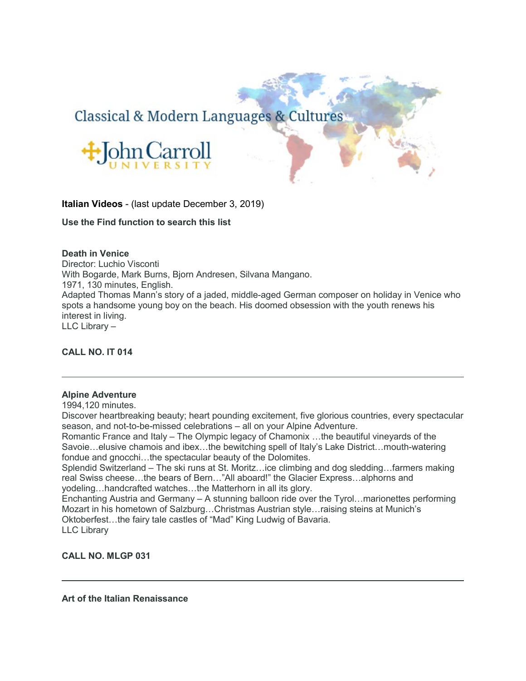# Classical & Modern Languages & Cultures



**Italian Videos** - (last update December 3, 2019)

**Use the Find function to search this list**

# **Death in Venice**

Director: Luchio Visconti With Bogarde, Mark Burns, Bjorn Andresen, Silvana Mangano. 1971, 130 minutes, English. Adapted Thomas Mann's story of a jaded, middle-aged German composer on holiday in Venice who spots a handsome young boy on the beach. His doomed obsession with the youth renews his interest in living. LLC Library –

# **CALL NO. IT 014**

# **Alpine Adventure**

1994,120 minutes.

Discover heartbreaking beauty; heart pounding excitement, five glorious countries, every spectacular season, and not-to-be-missed celebrations – all on your Alpine Adventure.

Romantic France and Italy – The Olympic legacy of Chamonix …the beautiful vineyards of the Savoie…elusive chamois and ibex…the bewitching spell of Italy's Lake District…mouth-watering fondue and gnocchi…the spectacular beauty of the Dolomites.

Splendid Switzerland – The ski runs at St. Moritz…ice climbing and dog sledding…farmers making real Swiss cheese…the bears of Bern…"All aboard!" the Glacier Express…alphorns and yodeling…handcrafted watches…the Matterhorn in all its glory.

Enchanting Austria and Germany – A stunning balloon ride over the Tyrol…marionettes performing Mozart in his hometown of Salzburg…Christmas Austrian style…raising steins at Munich's Oktoberfest…the fairy tale castles of "Mad" King Ludwig of Bavaria. LLC Library

**CALL NO. MLGP 031**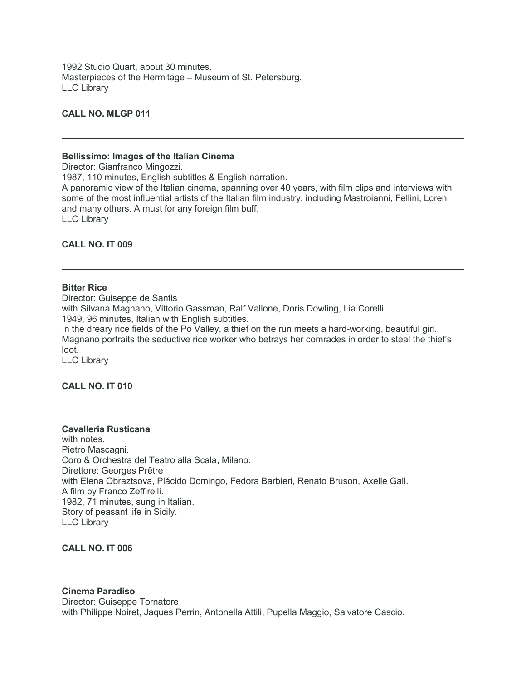1992 Studio Quart, about 30 minutes. Masterpieces of the Hermitage – Museum of St. Petersburg. LLC Library

# **CALL NO. MLGP 011**

#### **Bellissimo: Images of the Italian Cinema**

Director: Gianfranco Mingozzi.

1987, 110 minutes, English subtitles & English narration.

A panoramic view of the Italian cinema, spanning over 40 years, with film clips and interviews with some of the most influential artists of the Italian film industry, including Mastroianni, Fellini, Loren and many others. A must for any foreign film buff. LLC Library

### **CALL NO. IT 009**

#### **Bitter Rice**

Director: Guiseppe de Santis with Silvana Magnano, Vittorio Gassman, Ralf Vallone, Doris Dowling, Lia Corelli. 1949, 96 minutes, Italian with English subtitles. In the dreary rice fields of the Po Valley, a thief on the run meets a hard-working, beautiful girl. Magnano portraits the seductive rice worker who betrays her comrades in order to steal the thief's loot. LLC Library

# **CALL NO. IT 010**

#### **Cavalleria Rusticana**

with notes. Pietro Mascagni. Coro & Orchestra del Teatro alla Scala, Milano. Direttore: Georges Prêtre with Elena Obraztsova, Plácido Domingo, Fedora Barbieri, Renato Bruson, Axelle Gall. A film by Franco Zeffirelli. 1982, 71 minutes, sung in Italian. Story of peasant life in Sicily. LLC Library

# **CALL NO. IT 006**

### **Cinema Paradiso**

Director: Guiseppe Tornatore with Philippe Noiret, Jaques Perrin, Antonella Attili, Pupella Maggio, Salvatore Cascio.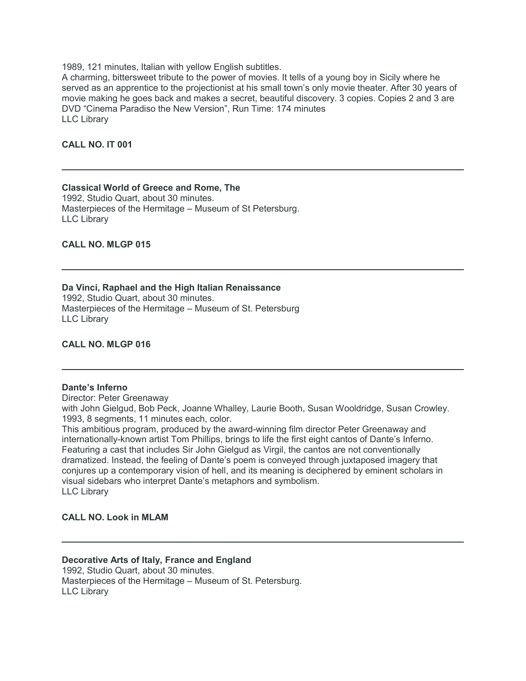1989, 121 minutes, Italian with yellow English subtitles.

A charming, bittersweet tribute to the power of movies. It tells of a young boy in Sicily where he served as an apprentice to the projectionist at his small town's only movie theater. After 30 years of movie making he goes back and makes a secret, beautiful discovery. 3 copies. Copies 2 and 3 are DVD "Cinema Paradiso the New Version", Run Time: 174 minutes LLC Library

# **CALL NO. IT 001**

LLC Library

### **Classical World of Greece and Rome, The** 1992, Studio Quart, about 30 minutes. Masterpieces of the Hermitage – Museum of St Petersburg.

**CALL NO. MLGP 015**

# **Da Vinci, Raphael and the High Italian Renaissance**

1992, Studio Quart, about 30 minutes. Masterpieces of the Hermitage – Museum of St. Petersburg LLC Library

### **CALL NO. MLGP 016**

# **Dante's Inferno**

Director: Peter Greenaway

with John Gielgud, Bob Peck, Joanne Whalley, Laurie Booth, Susan Wooldridge, Susan Crowley. 1993, 8 segments, 11 minutes each, color.

This ambitious program, produced by the award-winning film director Peter Greenaway and internationally-known artist Tom Phillips, brings to life the first eight cantos of Dante's Inferno. Featuring a cast that includes Sir John Gielgud as Virgil, the cantos are not conventionally dramatized. Instead, the feeling of Dante's poem is conveyed through juxtaposed imagery that conjures up a contemporary vision of hell, and its meaning is deciphered by eminent scholars in visual sidebars who interpret Dante's metaphors and symbolism. LLC Library

# **CALL NO. Look in MLAM**

# **Decorative Arts of Italy, France and England** 1992, Studio Quart, about 30 minutes. Masterpieces of the Hermitage – Museum of St. Petersburg.

LLC Library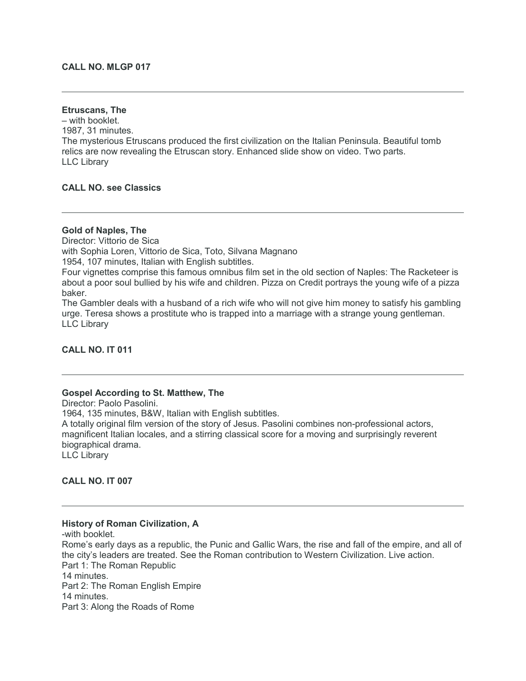# **CALL NO. MLGP 017**

### **Etruscans, The**

– with booklet. 1987, 31 minutes. The mysterious Etruscans produced the first civilization on the Italian Peninsula. Beautiful tomb relics are now revealing the Etruscan story. Enhanced slide show on video. Two parts. LLC Library

# **CALL NO. see Classics**

#### **Gold of Naples, The**

Director: Vittorio de Sica with Sophia Loren, Vittorio de Sica, Toto, Silvana Magnano 1954, 107 minutes, Italian with English subtitles. Four vignettes comprise this famous omnibus film set in the old section of Naples: The Racketeer is about a poor soul bullied by his wife and children. Pizza on Credit portrays the young wife of a pizza baker.

The Gambler deals with a husband of a rich wife who will not give him money to satisfy his gambling urge. Teresa shows a prostitute who is trapped into a marriage with a strange young gentleman. LLC Library

### **CALL NO. IT 011**

### **Gospel According to St. Matthew, The**

Director: Paolo Pasolini. 1964, 135 minutes, B&W, Italian with English subtitles. A totally original film version of the story of Jesus. Pasolini combines non-professional actors, magnificent Italian locales, and a stirring classical score for a moving and surprisingly reverent biographical drama. LLC Library

**CALL NO. IT 007**

#### **History of Roman Civilization, A**

-with booklet. Rome's early days as a republic, the Punic and Gallic Wars, the rise and fall of the empire, and all of the city's leaders are treated. See the Roman contribution to Western Civilization. Live action. Part 1: The Roman Republic 14 minutes. Part 2: The Roman English Empire 14 minutes. Part 3: Along the Roads of Rome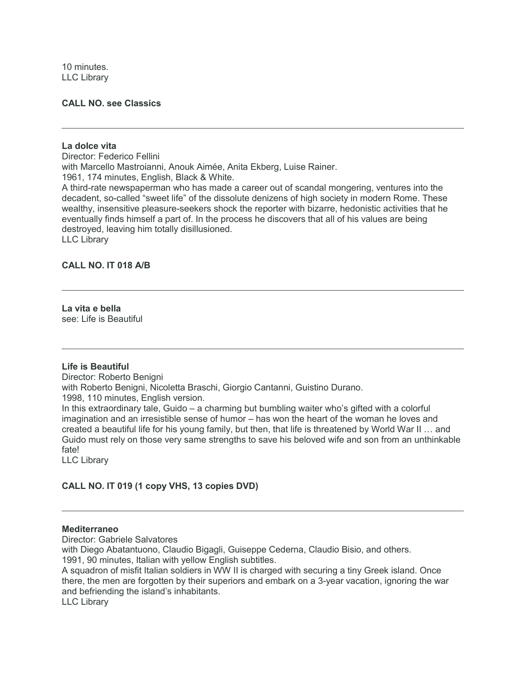10 minutes. LLC Library

### **CALL NO. see Classics**

### **La dolce vita**

Director: Federico Fellini with Marcello Mastroianni, Anouk Aimée, Anita Ekberg, Luise Rainer. 1961, 174 minutes, English, Black & White. A third-rate newspaperman who has made a career out of scandal mongering, ventures into the decadent, so-called "sweet life" of the dissolute denizens of high society in modern Rome. These wealthy, insensitive pleasure-seekers shock the reporter with bizarre, hedonistic activities that he eventually finds himself a part of. In the process he discovers that all of his values are being destroyed, leaving him totally disillusioned. LLC Library

# **CALL NO. IT 018 A/B**

**La vita e bella** see: Life is Beautiful

### **Life is Beautiful**

Director: Roberto Benigni with Roberto Benigni, Nicoletta Braschi, Giorgio Cantanni, Guistino Durano. 1998, 110 minutes, English version. In this extraordinary tale, Guido – a charming but bumbling waiter who's gifted with a colorful imagination and an irresistible sense of humor – has won the heart of the woman he loves and created a beautiful life for his young family, but then, that life is threatened by World War II … and Guido must rely on those very same strengths to save his beloved wife and son from an unthinkable fate!

LLC Library

# **CALL NO. IT 019 (1 copy VHS, 13 copies DVD)**

#### **Mediterraneo**

Director: Gabriele Salvatores

with Diego Abatantuono, Claudio Bigagli, Guiseppe Cederna, Claudio Bisio, and others. 1991, 90 minutes, Italian with yellow English subtitles.

A squadron of misfit Italian soldiers in WW II is charged with securing a tiny Greek island. Once there, the men are forgotten by their superiors and embark on a 3-year vacation, ignoring the war and befriending the island's inhabitants.

LLC Library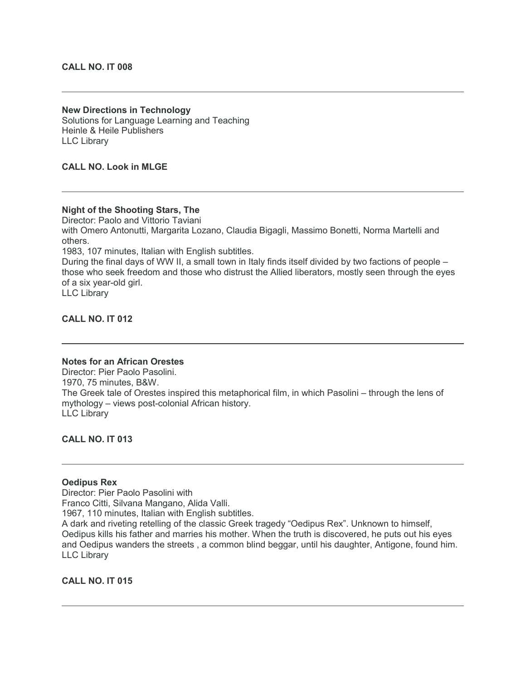### **CALL NO. IT 008**

**New Directions in Technology** Solutions for Language Learning and Teaching Heinle & Heile Publishers LLC Library

# **CALL NO. Look in MLGE**

# **Night of the Shooting Stars, The**

Director: Paolo and Vittorio Taviani with Omero Antonutti, Margarita Lozano, Claudia Bigagli, Massimo Bonetti, Norma Martelli and others.

1983, 107 minutes, Italian with English subtitles.

During the final days of WW II, a small town in Italy finds itself divided by two factions of people – those who seek freedom and those who distrust the Allied liberators, mostly seen through the eyes of a six year-old girl.

LLC Library

**CALL NO. IT 012**

### **Notes for an African Orestes**

Director: Pier Paolo Pasolini. 1970, 75 minutes, B&W. The Greek tale of Orestes inspired this metaphorical film, in which Pasolini – through the lens of mythology – views post-colonial African history. LLC Library

**CALL NO. IT 013**

# **Oedipus Rex**

Director: Pier Paolo Pasolini with Franco Citti, Silvana Mangano, Alida Valli. 1967, 110 minutes, Italian with English subtitles. A dark and riveting retelling of the classic Greek tragedy "Oedipus Rex". Unknown to himself, Oedipus kills his father and marries his mother. When the truth is discovered, he puts out his eyes and Oedipus wanders the streets , a common blind beggar, until his daughter, Antigone, found him. LLC Library

**CALL NO. IT 015**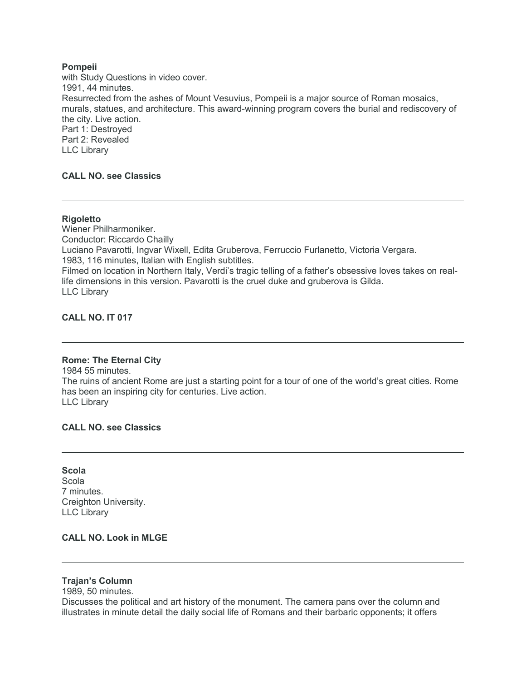# **Pompeii**

with Study Questions in video cover. 1991, 44 minutes. Resurrected from the ashes of Mount Vesuvius, Pompeii is a major source of Roman mosaics, murals, statues, and architecture. This award-winning program covers the burial and rediscovery of the city. Live action. Part 1: Destroyed Part 2: Revealed LLC Library

# **CALL NO. see Classics**

### **Rigoletto**

Wiener Philharmoniker. Conductor: Riccardo Chailly Luciano Pavarotti, Ingvar Wixell, Edita Gruberova, Ferruccio Furlanetto, Victoria Vergara. 1983, 116 minutes, Italian with English subtitles. Filmed on location in Northern Italy, Verdi's tragic telling of a father's obsessive loves takes on reallife dimensions in this version. Pavarotti is the cruel duke and gruberova is Gilda. LLC Library

# **CALL NO. IT 017**

### **Rome: The Eternal City**

1984 55 minutes. The ruins of ancient Rome are just a starting point for a tour of one of the world's great cities. Rome has been an inspiring city for centuries. Live action. LLC Library

## **CALL NO. see Classics**

**Scola Scola** 7 minutes. Creighton University. LLC Library

# **CALL NO. Look in MLGE**

**Trajan's Column**

1989, 50 minutes.

Discusses the political and art history of the monument. The camera pans over the column and illustrates in minute detail the daily social life of Romans and their barbaric opponents; it offers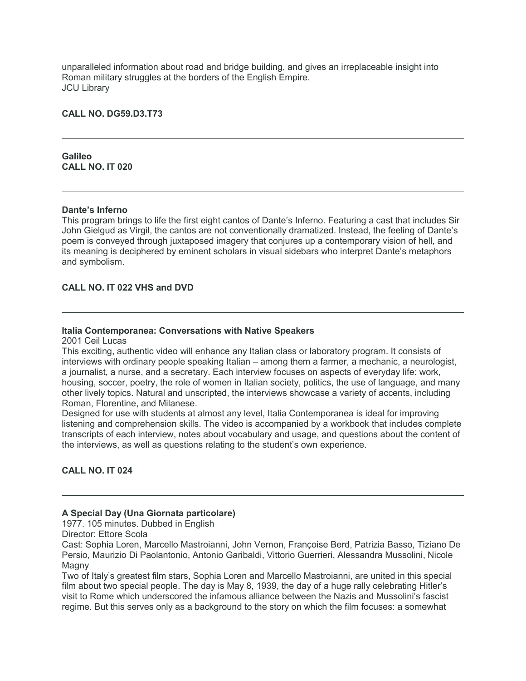unparalleled information about road and bridge building, and gives an irreplaceable insight into Roman military struggles at the borders of the English Empire. JCU Library

# **CALL NO. DG59.D3.T73**

**Galileo CALL NO. IT 020**

## **Dante's Inferno**

This program brings to life the first eight cantos of Dante's Inferno. Featuring a cast that includes Sir John Gielgud as Virgil, the cantos are not conventionally dramatized. Instead, the feeling of Dante's poem is conveyed through juxtaposed imagery that conjures up a contemporary vision of hell, and its meaning is deciphered by eminent scholars in visual sidebars who interpret Dante's metaphors and symbolism.

# **CALL NO. IT 022 VHS and DVD**

### **Italia Contemporanea: Conversations with Native Speakers**

2001 Ceil Lucas

This exciting, authentic video will enhance any Italian class or laboratory program. It consists of interviews with ordinary people speaking Italian – among them a farmer, a mechanic, a neurologist, a journalist, a nurse, and a secretary. Each interview focuses on aspects of everyday life: work, housing, soccer, poetry, the role of women in Italian society, politics, the use of language, and many other lively topics. Natural and unscripted, the interviews showcase a variety of accents, including Roman, Florentine, and Milanese.

Designed for use with students at almost any level, Italia Contemporanea is ideal for improving listening and comprehension skills. The video is accompanied by a workbook that includes complete transcripts of each interview, notes about vocabulary and usage, and questions about the content of the interviews, as well as questions relating to the student's own experience.

# **CALL NO. IT 024**

### **A Special Day (Una Giornata particolare)**

1977. 105 minutes. Dubbed in English

Director: Ettore Scola

Cast: Sophia Loren, Marcello Mastroianni, John Vernon, Françoise Berd, Patrizia Basso, Tiziano De Persio, Maurizio Di Paolantonio, Antonio Garibaldi, Vittorio Guerrieri, Alessandra Mussolini, Nicole Magny

Two of Italy's greatest film stars, Sophia Loren and Marcello Mastroianni, are united in this special film about two special people. The day is May 8, 1939, the day of a huge rally celebrating Hitler's visit to Rome which underscored the infamous alliance between the Nazis and Mussolini's fascist regime. But this serves only as a background to the story on which the film focuses: a somewhat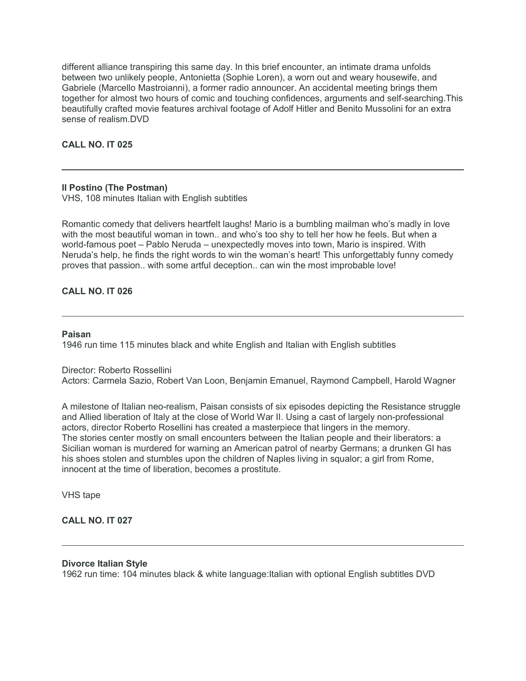different alliance transpiring this same day. In this brief encounter, an intimate drama unfolds between two unlikely people, Antonietta (Sophie Loren), a worn out and weary housewife, and Gabriele (Marcello Mastroianni), a former radio announcer. An accidental meeting brings them together for almost two hours of comic and touching confidences, arguments and self-searching.This beautifully crafted movie features archival footage of Adolf Hitler and Benito Mussolini for an extra sense of realism DVD.

**CALL NO. IT 025**

# **Il Postino (The Postman)**

VHS, 108 minutes Italian with English subtitles

Romantic comedy that delivers heartfelt laughs! Mario is a bumbling mailman who's madly in love with the most beautiful woman in town.. and who's too shy to tell her how he feels. But when a world-famous poet – Pablo Neruda – unexpectedly moves into town, Mario is inspired. With Neruda's help, he finds the right words to win the woman's heart! This unforgettably funny comedy proves that passion.. with some artful deception.. can win the most improbable love!

# **CALL NO. IT 026**

### **Paisan**

1946 run time 115 minutes black and white English and Italian with English subtitles

### Director: Roberto Rossellini

Actors: Carmela Sazio, Robert Van Loon, Benjamin Emanuel, Raymond Campbell, Harold Wagner

A milestone of Italian neo-realism, Paisan consists of six episodes depicting the Resistance struggle and Allied liberation of Italy at the close of World War II. Using a cast of largely non-professional actors, director Roberto Rosellini has created a masterpiece that lingers in the memory. The stories center mostly on small encounters between the Italian people and their liberators: a Sicilian woman is murdered for warning an American patrol of nearby Germans; a drunken GI has his shoes stolen and stumbles upon the children of Naples living in squalor; a girl from Rome, innocent at the time of liberation, becomes a prostitute.

VHS tape

# **CALL NO. IT 027**

### **Divorce Italian Style**

1962 run time: 104 minutes black & white language:Italian with optional English subtitles DVD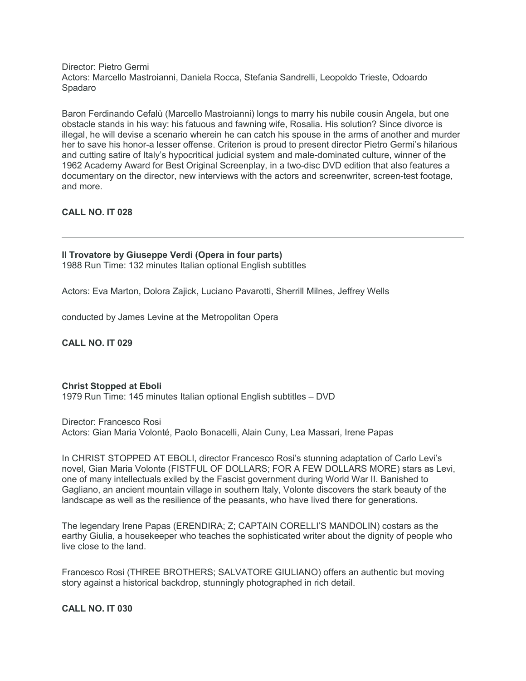Director: Pietro Germi Actors: Marcello Mastroianni, Daniela Rocca, Stefania Sandrelli, Leopoldo Trieste, Odoardo Spadaro

Baron Ferdinando Cefalù (Marcello Mastroianni) longs to marry his nubile cousin Angela, but one obstacle stands in his way: his fatuous and fawning wife, Rosalia. His solution? Since divorce is illegal, he will devise a scenario wherein he can catch his spouse in the arms of another and murder her to save his honor-a lesser offense. Criterion is proud to present director Pietro Germi's hilarious and cutting satire of Italy's hypocritical judicial system and male-dominated culture, winner of the 1962 Academy Award for Best Original Screenplay, in a two-disc DVD edition that also features a documentary on the director, new interviews with the actors and screenwriter, screen-test footage, and more.

# **CALL NO. IT 028**

# **Il Trovatore by Giuseppe Verdi (Opera in four parts)**

1988 Run Time: 132 minutes Italian optional English subtitles

Actors: Eva Marton, Dolora Zajick, Luciano Pavarotti, Sherrill Milnes, Jeffrey Wells

conducted by James Levine at the Metropolitan Opera

**CALL NO. IT 029**

# **Christ Stopped at Eboli**

1979 Run Time: 145 minutes Italian optional English subtitles – DVD

Director: Francesco Rosi Actors: Gian Maria Volonté, Paolo Bonacelli, Alain Cuny, Lea Massari, Irene Papas

In CHRIST STOPPED AT EBOLI, director Francesco Rosi's stunning adaptation of Carlo Levi's novel, Gian Maria Volonte (FISTFUL OF DOLLARS; FOR A FEW DOLLARS MORE) stars as Levi, one of many intellectuals exiled by the Fascist government during World War II. Banished to Gagliano, an ancient mountain village in southern Italy, Volonte discovers the stark beauty of the landscape as well as the resilience of the peasants, who have lived there for generations.

The legendary Irene Papas (ERENDIRA; Z; CAPTAIN CORELLI'S MANDOLIN) costars as the earthy Giulia, a housekeeper who teaches the sophisticated writer about the dignity of people who live close to the land.

Francesco Rosi (THREE BROTHERS; SALVATORE GIULIANO) offers an authentic but moving story against a historical backdrop, stunningly photographed in rich detail.

# **CALL NO. IT 030**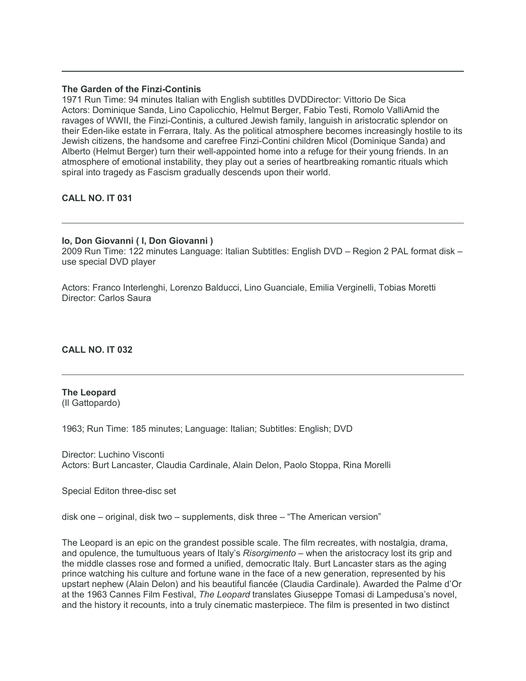### **The Garden of the Finzi-Continis**

1971 Run Time: 94 minutes Italian with English subtitles DVDDirector: Vittorio De Sica Actors: Dominique Sanda, Lino Capolicchio, Helmut Berger, Fabio Testi, Romolo ValliAmid the ravages of WWII, the Finzi-Continis, a cultured Jewish family, languish in aristocratic splendor on their Eden-like estate in Ferrara, Italy. As the political atmosphere becomes increasingly hostile to its Jewish citizens, the handsome and carefree Finzi-Contini children Micol (Dominique Sanda) and Alberto (Helmut Berger) turn their well-appointed home into a refuge for their young friends. In an atmosphere of emotional instability, they play out a series of heartbreaking romantic rituals which spiral into tragedy as Fascism gradually descends upon their world.

# **CALL NO. IT 031**

# **Io, Don Giovanni ( I, Don Giovanni )**

2009 Run Time: 122 minutes Language: Italian Subtitles: English DVD – Region 2 PAL format disk – use special DVD player

Actors: Franco Interlenghi, Lorenzo Balducci, Lino Guanciale, Emilia Verginelli, Tobias Moretti Director: Carlos Saura

**CALL NO. IT 032**

# **The Leopard**

(Il Gattopardo)

1963; Run Time: 185 minutes; Language: Italian; Subtitles: English; DVD

Director: Luchino Visconti Actors: Burt Lancaster, Claudia Cardinale, Alain Delon, Paolo Stoppa, Rina Morelli

Special Editon three-disc set

disk one – original, disk two – supplements, disk three – "The American version"

The Leopard is an epic on the grandest possible scale. The film recreates, with nostalgia, drama, and opulence, the tumultuous years of Italy's *Risorgimento* – when the aristocracy lost its grip and the middle classes rose and formed a unified, democratic Italy. Burt Lancaster stars as the aging prince watching his culture and fortune wane in the face of a new generation, represented by his upstart nephew (Alain Delon) and his beautiful fiancée (Claudia Cardinale). Awarded the Palme d'Or at the 1963 Cannes Film Festival, *The Leopard* translates Giuseppe Tomasi di Lampedusa's novel, and the history it recounts, into a truly cinematic masterpiece. The film is presented in two distinct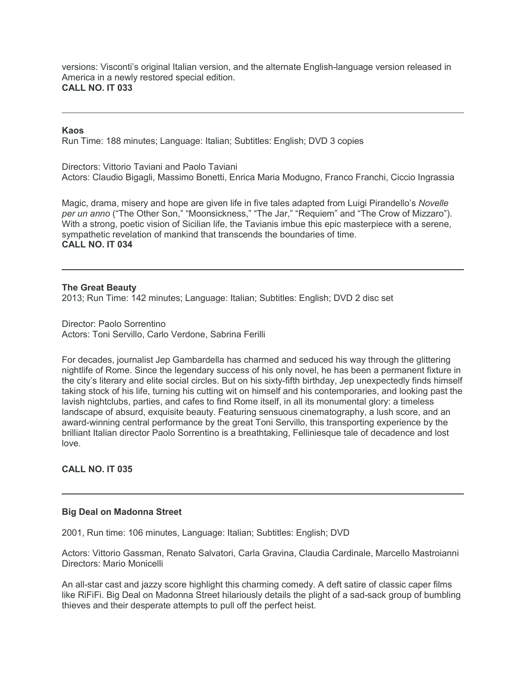versions: Visconti's original Italian version, and the alternate English-language version released in America in a newly restored special edition. **CALL NO. IT 033**

#### **Kaos**

Run Time: 188 minutes; Language: Italian; Subtitles: English; DVD 3 copies

Directors: Vittorio Taviani and Paolo Taviani Actors: Claudio Bigagli, Massimo Bonetti, Enrica Maria Modugno, Franco Franchi, Ciccio Ingrassia

Magic, drama, misery and hope are given life in five tales adapted from Luigi Pirandello's *Novelle per un anno* ("The Other Son," "Moonsickness," "The Jar," "Requiem" and "The Crow of Mizzaro"). With a strong, poetic vision of Sicilian life, the Tavianis imbue this epic masterpiece with a serene, sympathetic revelation of mankind that transcends the boundaries of time. **CALL NO. IT 034**

**The Great Beauty** 2013; Run Time: 142 minutes; Language: Italian; Subtitles: English; DVD 2 disc set

Director: Paolo Sorrentino Actors: Toni Servillo, Carlo Verdone, Sabrina Ferilli

For decades, journalist Jep Gambardella has charmed and seduced his way through the glittering nightlife of Rome. Since the legendary success of his only novel, he has been a permanent fixture in the city's literary and elite social circles. But on his sixty-fifth birthday, Jep unexpectedly finds himself taking stock of his life, turning his cutting wit on himself and his contemporaries, and looking past the lavish nightclubs, parties, and cafes to find Rome itself, in all its monumental glory: a timeless landscape of absurd, exquisite beauty. Featuring sensuous cinematography, a lush score, and an award-winning central performance by the great Toni Servillo, this transporting experience by the brilliant Italian director Paolo Sorrentino is a breathtaking, Felliniesque tale of decadence and lost love.

# **CALL NO. IT 035**

### **Big Deal on Madonna Street**

2001, Run time: 106 minutes, Language: Italian; Subtitles: English; DVD

Actors: Vittorio Gassman, Renato Salvatori, Carla Gravina, Claudia Cardinale, Marcello Mastroianni Directors: Mario Monicelli

An all-star cast and jazzy score highlight this charming comedy. A deft satire of classic caper films like RiFiFi. Big Deal on Madonna Street hilariously details the plight of a sad-sack group of bumbling thieves and their desperate attempts to pull off the perfect heist.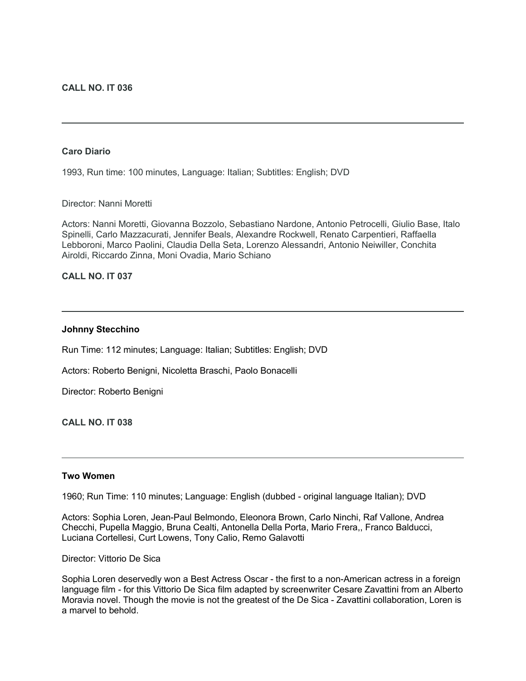# **Caro Diario**

1993, Run time: 100 minutes, Language: Italian; Subtitles: English; DVD

Director: Nanni Moretti

Actors: Nanni Moretti, Giovanna Bozzolo, Sebastiano Nardone, Antonio Petrocelli, Giulio Base, Italo Spinelli, Carlo Mazzacurati, Jennifer Beals, Alexandre Rockwell, Renato Carpentieri, Raffaella Lebboroni, Marco Paolini, Claudia Della Seta, Lorenzo Alessandri, Antonio Neiwiller, Conchita Airoldi, Riccardo Zinna, Moni Ovadia, Mario Schiano

# **CALL NO. IT 037**

# **Johnny Stecchino**

Run Time: 112 minutes; Language: Italian; Subtitles: English; DVD

Actors: Roberto Benigni, Nicoletta Braschi, Paolo Bonacelli

Director: Roberto Benigni

**CALL NO. IT 038**

### **Two Women**

1960; Run Time: 110 minutes; Language: English (dubbed - original language Italian); DVD

Actors: Sophia Loren, Jean-Paul Belmondo, Eleonora Brown, Carlo Ninchi, Raf Vallone, Andrea Checchi, Pupella Maggio, Bruna Cealti, Antonella Della Porta, Mario Frera,, Franco Balducci, Luciana Cortellesi, Curt Lowens, Tony Calio, Remo Galavotti

Director: Vittorio De Sica

Sophia Loren deservedly won a Best Actress Oscar - the first to a non-American actress in a foreign language film - for this Vittorio De Sica film adapted by screenwriter Cesare Zavattini from an Alberto Moravia novel. Though the movie is not the greatest of the De Sica - Zavattini collaboration, Loren is a marvel to behold.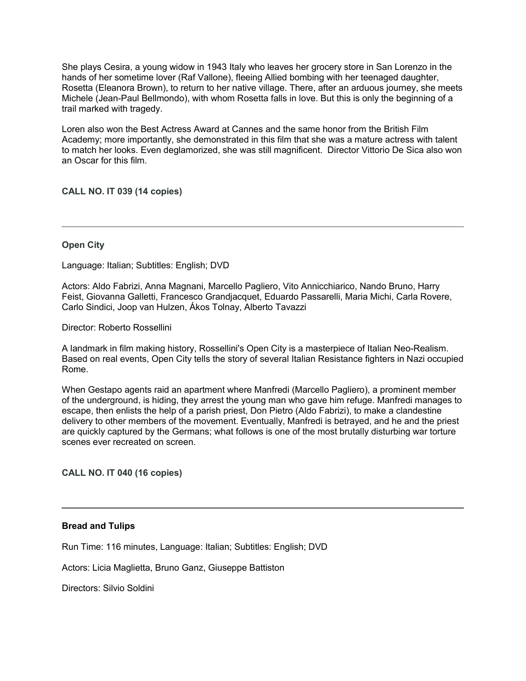She plays Cesira, a young widow in 1943 Italy who leaves her grocery store in San Lorenzo in the hands of her sometime lover (Raf Vallone), fleeing Allied bombing with her teenaged daughter, Rosetta (Eleanora Brown), to return to her native village. There, after an arduous journey, she meets Michele (Jean-Paul Bellmondo), with whom Rosetta falls in love. But this is only the beginning of a trail marked with tragedy.

Loren also won the Best Actress Award at Cannes and the same honor from the British Film Academy; more importantly, she demonstrated in this film that she was a mature actress with talent to match her looks. Even deglamorized, she was still magnificent. Director Vittorio De Sica also won an Oscar for this film.

**CALL NO. IT 039 (14 copies)**

# **Open City**

Language: Italian; Subtitles: English; DVD

Actors: Aldo Fabrizi, Anna Magnani, Marcello Pagliero, Vito Annicchiarico, Nando Bruno, Harry Feist, Giovanna Galletti, Francesco Grandjacquet, Eduardo Passarelli, Maria Michi, Carla Rovere, Carlo Sindici, Joop van Hulzen, Ákos Tolnay, Alberto Tavazzi

Director: Roberto Rossellini

A landmark in film making history, Rossellini's Open City is a masterpiece of Italian Neo-Realism. Based on real events, Open City tells the story of several Italian Resistance fighters in Nazi occupied Rome.

When Gestapo agents raid an apartment where Manfredi (Marcello Pagliero), a prominent member of the underground, is hiding, they arrest the young man who gave him refuge. Manfredi manages to escape, then enlists the help of a parish priest, Don Pietro (Aldo Fabrizi), to make a clandestine delivery to other members of the movement. Eventually, Manfredi is betrayed, and he and the priest are quickly captured by the Germans; what follows is one of the most brutally disturbing war torture scenes ever recreated on screen.

**CALL NO. IT 040 (16 copies)**

### **Bread and Tulips**

Run Time: 116 minutes, Language: Italian; Subtitles: English; DVD

Actors: Licia Maglietta, Bruno Ganz, Giuseppe Battiston

Directors: Silvio Soldini